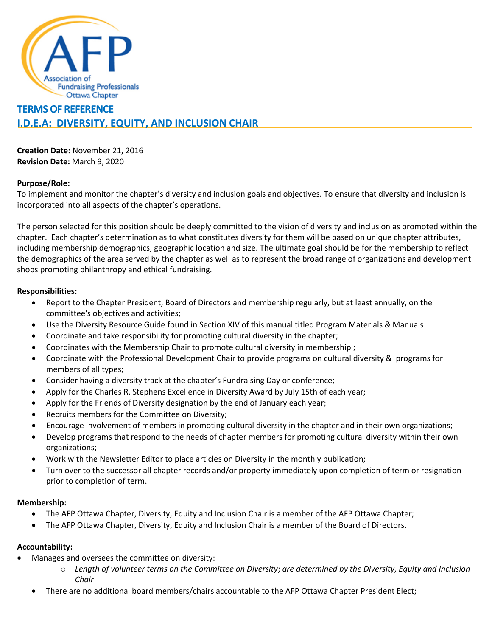

# **TERMS OF REFERENCE I.D.E.A: DIVERSITY, EQUITY, AND INCLUSION CHAIR**

**Creation Date:** November 21, 2016 **Revision Date:** March 9, 2020

## **Purpose/Role:**

To implement and monitor the chapter's diversity and inclusion goals and objectives. To ensure that diversity and inclusion is incorporated into all aspects of the chapter's operations.

The person selected for this position should be deeply committed to the vision of diversity and inclusion as promoted within the chapter. Each chapter's determination as to what constitutes diversity for them will be based on unique chapter attributes, including membership demographics, geographic location and size. The ultimate goal should be for the membership to reflect the demographics of the area served by the chapter as well as to represent the broad range of organizations and development shops promoting philanthropy and ethical fundraising.

# **Responsibilities:**

- Report to the Chapter President, Board of Directors and membership regularly, but at least annually, on the committee's objectives and activities;
- Use the Diversity Resource Guide found in Section XIV of this manual titled Program Materials & Manuals
- Coordinate and take responsibility for promoting cultural diversity in the chapter;
- Coordinates with the Membership Chair to promote cultural diversity in membership ;
- Coordinate with the Professional Development Chair to provide programs on cultural diversity & programs for members of all types;
- Consider having a diversity track at the chapter's Fundraising Day or conference;
- Apply for the Charles R. Stephens Excellence in Diversity Award by July 15th of each year;
- Apply for the Friends of Diversity designation by the end of January each year;
- Recruits members for the Committee on Diversity;
- Encourage involvement of members in promoting cultural diversity in the chapter and in their own organizations;
- Develop programs that respond to the needs of chapter members for promoting cultural diversity within their own organizations;
- Work with the Newsletter Editor to place articles on Diversity in the monthly publication;
- Turn over to the successor all chapter records and/or property immediately upon completion of term or resignation prior to completion of term.

## **Membership:**

- The AFP Ottawa Chapter, Diversity, Equity and Inclusion Chair is a member of the AFP Ottawa Chapter;
- The AFP Ottawa Chapter, Diversity, Equity and Inclusion Chair is a member of the Board of Directors.

# **Accountability:**

- Manages and oversees the committee on diversity:
	- o *Length of volunteer terms on the Committee on Diversity*; *are determined by the Diversity, Equity and Inclusion Chair*
	- There are no additional board members/chairs accountable to the AFP Ottawa Chapter President Elect;